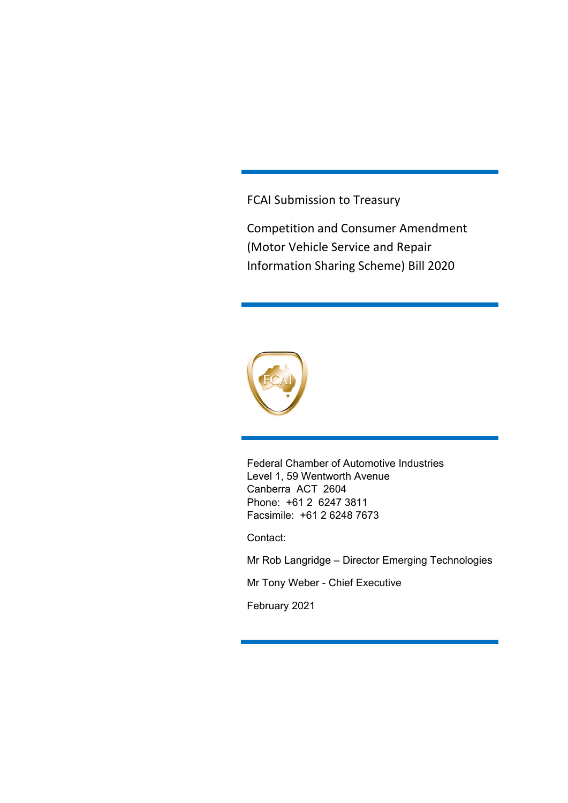FCAI Submission to Treasury

Competition and Consumer Amendment (Motor Vehicle Service and Repair Information Sharing Scheme) Bill 2020



Federal Chamber of Automotive Industries Level 1, 59 Wentworth Avenue Canberra ACT 2604 Phone: +61 2 6247 3811 Facsimile: +61 2 6248 7673

Contact:

Mr Rob Langridge – Director Emerging Technologies

Mr Tony Weber - Chief Executive

February 2021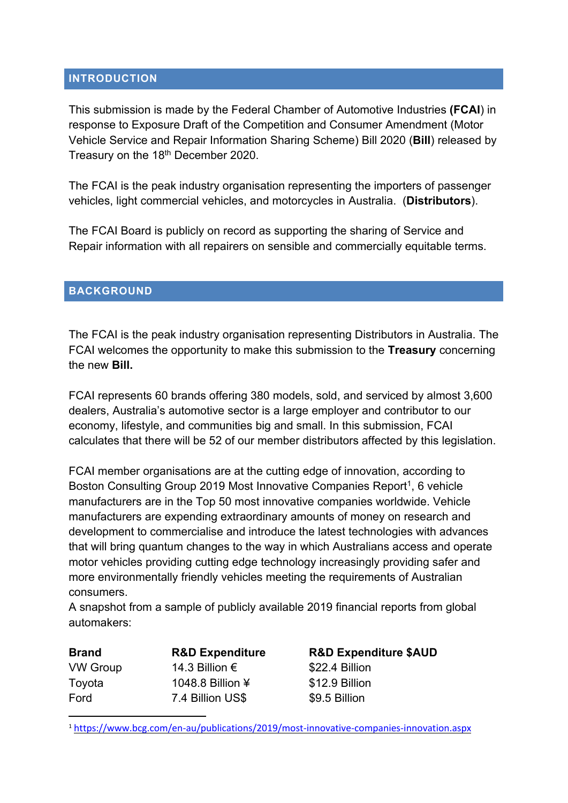#### **INTRODUCTION**

This submission is made by the Federal Chamber of Automotive Industries **(FCAI**) in response to Exposure Draft of the Competition and Consumer Amendment (Motor Vehicle Service and Repair Information Sharing Scheme) Bill 2020 (**Bill**) released by Treasury on the 18<sup>th</sup> December 2020.

The FCAI is the peak industry organisation representing the importers of passenger vehicles, light commercial vehicles, and motorcycles in Australia. (**Distributors**).

The FCAI Board is publicly on record as supporting the sharing of Service and Repair information with all repairers on sensible and commercially equitable terms.

#### **BACKGROUND**

The FCAI is the peak industry organisation representing Distributors in Australia. The FCAI welcomes the opportunity to make this submission to the **Treasury** concerning the new **Bill.** 

FCAI represents 60 brands offering 380 models, sold, and serviced by almost 3,600 dealers, Australia's automotive sector is a large employer and contributor to our economy, lifestyle, and communities big and small. In this submission, FCAI calculates that there will be 52 of our member distributors affected by this legislation.

FCAI member organisations are at the cutting edge of innovation, according to Boston Consulting Group 2019 Most Innovative Companies Report<sup>1</sup>, 6 vehicle manufacturers are in the Top 50 most innovative companies worldwide. Vehicle manufacturers are expending extraordinary amounts of money on research and development to commercialise and introduce the latest technologies with advances that will bring quantum changes to the way in which Australians access and operate motor vehicles providing cutting edge technology increasingly providing safer and more environmentally friendly vehicles meeting the requirements of Australian consumers.

A snapshot from a sample of publicly available 2019 financial reports from global automakers:

VW Group 14.3 Billion € \$22.4 Billion Toyota 1048.8 Billion ¥ \$12.9 Billion Ford 7.4 Billion US\$ \$9.5 Billion

**Brand R&D Expenditure R&D Expenditure \$AUD** 

<sup>1</sup> https://www.bcg.com/en‐au/publications/2019/most‐innovative‐companies‐innovation.aspx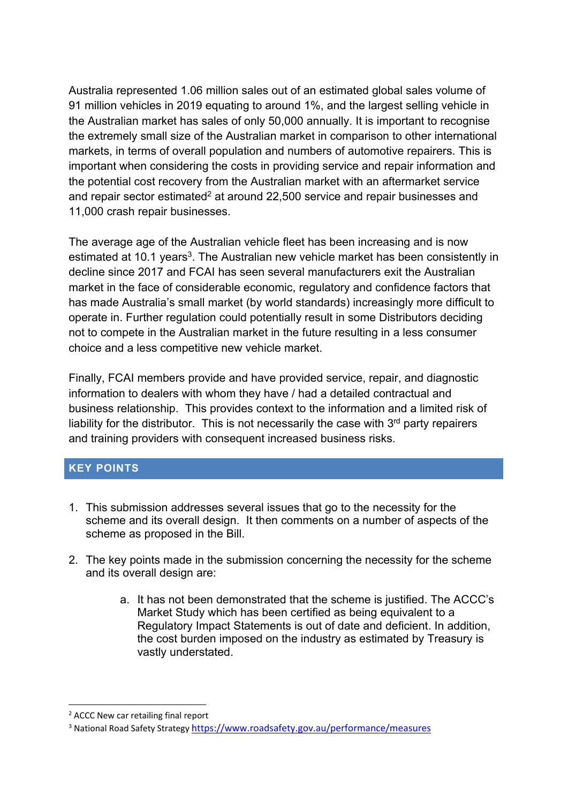Australia represented 1.06 million sales out of an estimated global sales volume of 91 million vehicles in 2019 equating to around 1%, and the largest selling vehicle in the Australian market has sales of only 50,000 annually. It is important to recognise the extremely small size of the Australian market in comparison to other international markets, in terms of overall population and numbers of automotive repairers. This is important when considering the costs in providing service and repair information and the potential cost recovery from the Australian market with an aftermarket service and repair sector estimated<sup>2</sup> at around 22,500 service and repair businesses and 11,000 crash repair businesses.

The average age of the Australian vehicle fleet has been increasing and is now estimated at 10.1 years<sup>3</sup>. The Australian new vehicle market has been consistently in decline since 2017 and FCAI has seen several manufacturers exit the Australian market in the face of considerable economic, regulatory and confidence factors that has made Australia's small market (by world standards) increasingly more difficult to operate in. Further regulation could potentially result in some Distributors deciding not to compete in the Australian market in the future resulting in a less consumer choice and a less competitive new vehicle market.

Finally, FCAI members provide and have provided service, repair, and diagnostic information to dealers with whom they have / had a detailed contractual and business relationship. This provides context to the information and a limited risk of liability for the distributor. This is not necessarily the case with  $3<sup>rd</sup>$  party repairers and training providers with consequent increased business risks.

### **KEY POINTS**

- 1. This submission addresses several issues that go to the necessity for the scheme and its overall design. It then comments on a number of aspects of the scheme as proposed in the Bill.
- 2. The key points made in the submission concerning the necessity for the scheme and its overall design are:
	- a. It has not been demonstrated that the scheme is justified. The ACCC's Market Study which has been certified as being equivalent to a Regulatory Impact Statements is out of date and deficient. In addition, the cost burden imposed on the industry as estimated by Treasury is vastly understated.

<sup>2</sup> ACCC New car retailing final report

<sup>3</sup> National Road Safety Strategy https://www.roadsafety.gov.au/performance/measures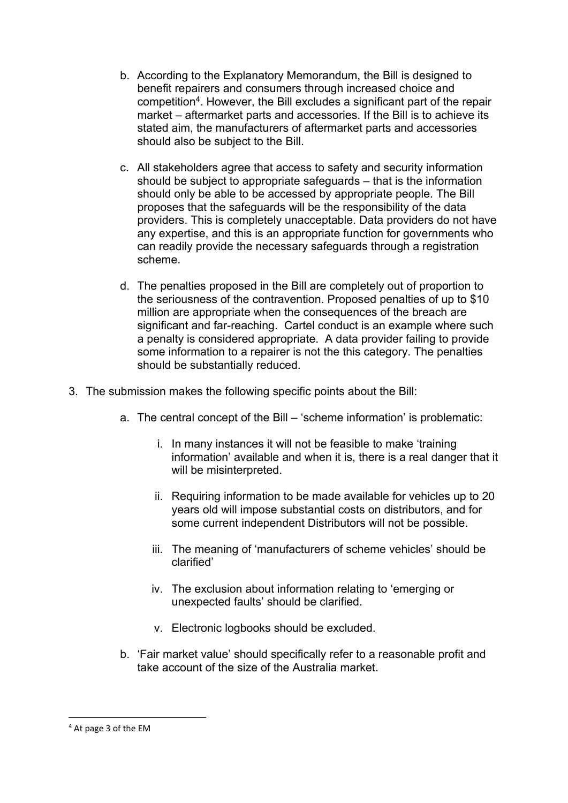- b. According to the Explanatory Memorandum, the Bill is designed to benefit repairers and consumers through increased choice and competition4. However, the Bill excludes a significant part of the repair market – aftermarket parts and accessories. If the Bill is to achieve its stated aim, the manufacturers of aftermarket parts and accessories should also be subject to the Bill.
- c. All stakeholders agree that access to safety and security information should be subject to appropriate safeguards – that is the information should only be able to be accessed by appropriate people. The Bill proposes that the safeguards will be the responsibility of the data providers. This is completely unacceptable. Data providers do not have any expertise, and this is an appropriate function for governments who can readily provide the necessary safeguards through a registration scheme.
- d. The penalties proposed in the Bill are completely out of proportion to the seriousness of the contravention. Proposed penalties of up to \$10 million are appropriate when the consequences of the breach are significant and far-reaching. Cartel conduct is an example where such a penalty is considered appropriate. A data provider failing to provide some information to a repairer is not the this category. The penalties should be substantially reduced.
- 3. The submission makes the following specific points about the Bill:
	- a. The central concept of the Bill 'scheme information' is problematic:
		- i. In many instances it will not be feasible to make 'training information' available and when it is, there is a real danger that it will be misinterpreted.
		- ii. Requiring information to be made available for vehicles up to 20 years old will impose substantial costs on distributors, and for some current independent Distributors will not be possible.
		- iii. The meaning of 'manufacturers of scheme vehicles' should be clarified'
		- iv. The exclusion about information relating to 'emerging or unexpected faults' should be clarified.
		- v. Electronic logbooks should be excluded.
	- b. 'Fair market value' should specifically refer to a reasonable profit and take account of the size of the Australia market.

<sup>4</sup> At page 3 of the EM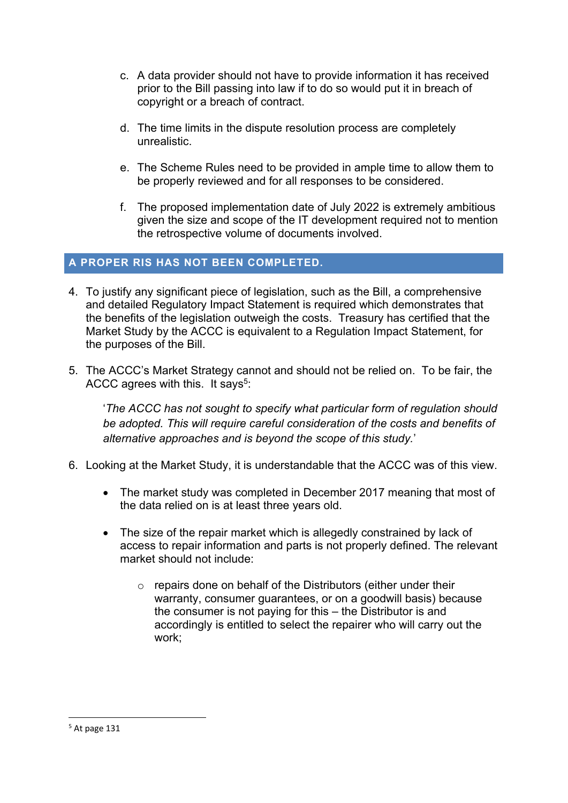- c. A data provider should not have to provide information it has received prior to the Bill passing into law if to do so would put it in breach of copyright or a breach of contract.
- d. The time limits in the dispute resolution process are completely unrealistic.
- e. The Scheme Rules need to be provided in ample time to allow them to be properly reviewed and for all responses to be considered.
- f. The proposed implementation date of July 2022 is extremely ambitious given the size and scope of the IT development required not to mention the retrospective volume of documents involved.

### **A PROPER RIS HAS NOT BEEN COMPLETED.**

- 4. To justify any significant piece of legislation, such as the Bill, a comprehensive and detailed Regulatory Impact Statement is required which demonstrates that the benefits of the legislation outweigh the costs. Treasury has certified that the Market Study by the ACCC is equivalent to a Regulation Impact Statement, for the purposes of the Bill.
- 5. The ACCC's Market Strategy cannot and should not be relied on. To be fair, the ACCC agrees with this. It says<sup>5</sup>:

'*The ACCC has not sought to specify what particular form of regulation should be adopted. This will require careful consideration of the costs and benefits of alternative approaches and is beyond the scope of this study.*'

- 6. Looking at the Market Study, it is understandable that the ACCC was of this view.
	- The market study was completed in December 2017 meaning that most of the data relied on is at least three years old.
	- The size of the repair market which is allegedly constrained by lack of access to repair information and parts is not properly defined. The relevant market should not include:
		- o repairs done on behalf of the Distributors (either under their warranty, consumer guarantees, or on a goodwill basis) because the consumer is not paying for this – the Distributor is and accordingly is entitled to select the repairer who will carry out the work;

 $<sup>5</sup>$  At page 131</sup>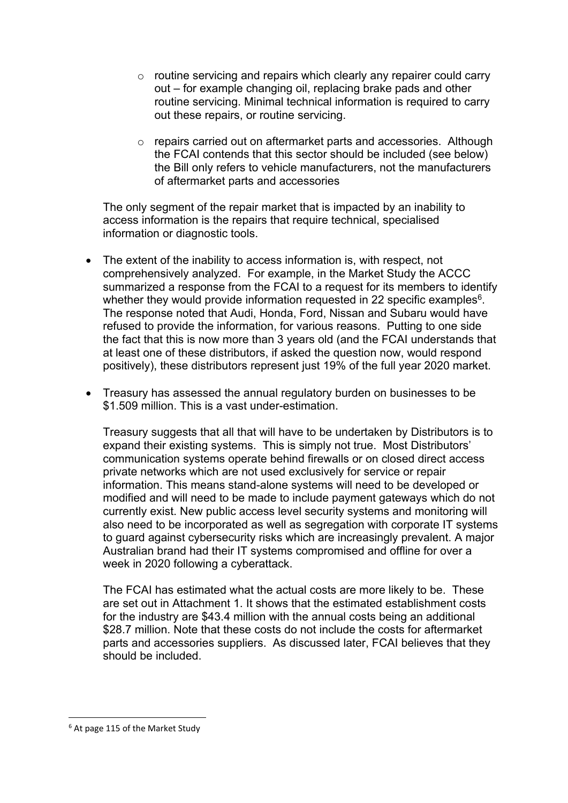- $\circ$  routine servicing and repairs which clearly any repairer could carry out – for example changing oil, replacing brake pads and other routine servicing. Minimal technical information is required to carry out these repairs, or routine servicing.
- o repairs carried out on aftermarket parts and accessories. Although the FCAI contends that this sector should be included (see below) the Bill only refers to vehicle manufacturers, not the manufacturers of aftermarket parts and accessories

The only segment of the repair market that is impacted by an inability to access information is the repairs that require technical, specialised information or diagnostic tools.

- The extent of the inability to access information is, with respect, not comprehensively analyzed. For example, in the Market Study the ACCC summarized a response from the FCAI to a request for its members to identify whether they would provide information requested in 22 specific examples<sup>6</sup>. The response noted that Audi, Honda, Ford, Nissan and Subaru would have refused to provide the information, for various reasons. Putting to one side the fact that this is now more than 3 years old (and the FCAI understands that at least one of these distributors, if asked the question now, would respond positively), these distributors represent just 19% of the full year 2020 market.
- Treasury has assessed the annual regulatory burden on businesses to be \$1.509 million. This is a vast under-estimation.

Treasury suggests that all that will have to be undertaken by Distributors is to expand their existing systems. This is simply not true. Most Distributors' communication systems operate behind firewalls or on closed direct access private networks which are not used exclusively for service or repair information. This means stand-alone systems will need to be developed or modified and will need to be made to include payment gateways which do not currently exist. New public access level security systems and monitoring will also need to be incorporated as well as segregation with corporate IT systems to guard against cybersecurity risks which are increasingly prevalent. A major Australian brand had their IT systems compromised and offline for over a week in 2020 following a cyberattack.

The FCAI has estimated what the actual costs are more likely to be. These are set out in Attachment 1. It shows that the estimated establishment costs for the industry are \$43.4 million with the annual costs being an additional \$28.7 million. Note that these costs do not include the costs for aftermarket parts and accessories suppliers. As discussed later, FCAI believes that they should be included.

<sup>6</sup> At page 115 of the Market Study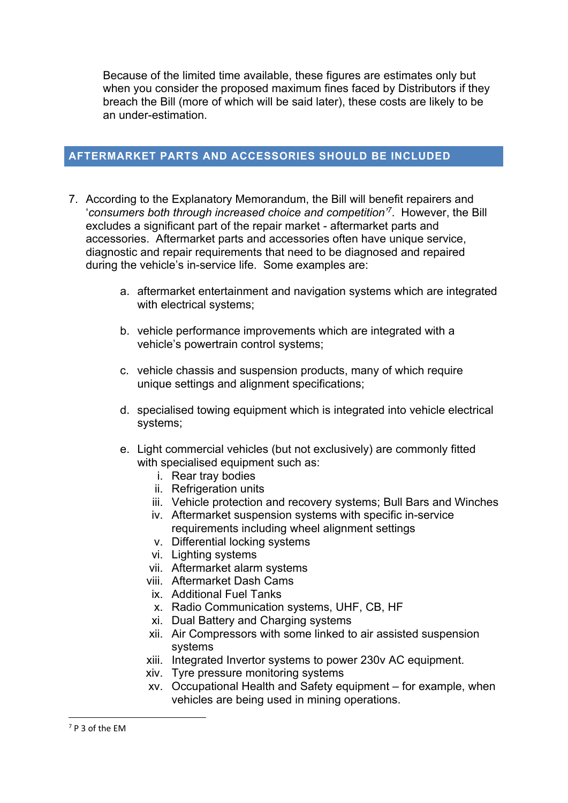Because of the limited time available, these figures are estimates only but when you consider the proposed maximum fines faced by Distributors if they breach the Bill (more of which will be said later), these costs are likely to be an under-estimation.

#### **AFTERMARKET PARTS AND ACCESSORIES SHOULD BE INCLUDED**

- 7. According to the Explanatory Memorandum, the Bill will benefit repairers and '*consumers both through increased choice and competition'7*. However, the Bill excludes a significant part of the repair market - aftermarket parts and accessories. Aftermarket parts and accessories often have unique service, diagnostic and repair requirements that need to be diagnosed and repaired during the vehicle's in-service life. Some examples are:
	- a. aftermarket entertainment and navigation systems which are integrated with electrical systems;
	- b. vehicle performance improvements which are integrated with a vehicle's powertrain control systems;
	- c. vehicle chassis and suspension products, many of which require unique settings and alignment specifications;
	- d. specialised towing equipment which is integrated into vehicle electrical systems;
	- e. Light commercial vehicles (but not exclusively) are commonly fitted with specialised equipment such as:
		- i. Rear tray bodies
		- ii. Refrigeration units
		- iii. Vehicle protection and recovery systems; Bull Bars and Winches
		- iv. Aftermarket suspension systems with specific in-service requirements including wheel alignment settings
		- v. Differential locking systems
		- vi. Lighting systems
		- vii. Aftermarket alarm systems
		- viii. Aftermarket Dash Cams
		- ix. Additional Fuel Tanks
		- x. Radio Communication systems, UHF, CB, HF
		- xi. Dual Battery and Charging systems
		- xii. Air Compressors with some linked to air assisted suspension systems
		- xiii. Integrated Invertor systems to power 230v AC equipment.
		- xiv. Tyre pressure monitoring systems
		- xv. Occupational Health and Safety equipment for example, when vehicles are being used in mining operations.

<sup>7</sup> P 3 of the EM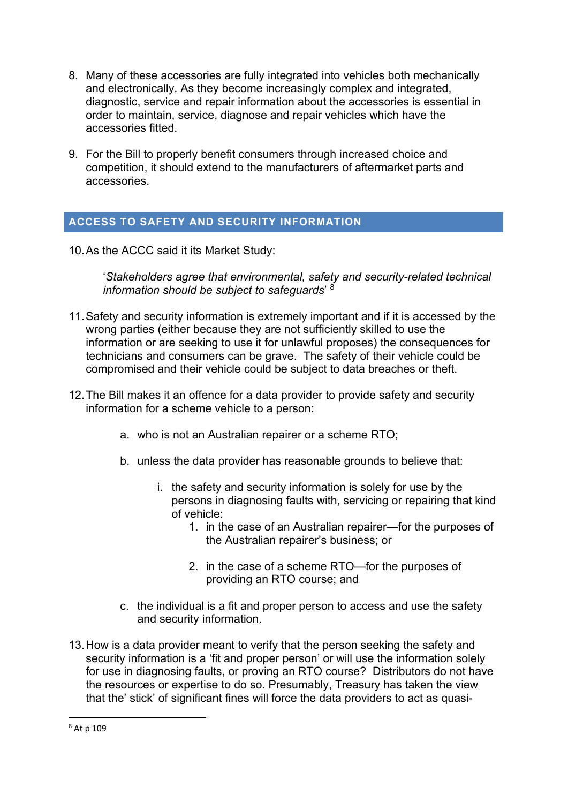- 8. Many of these accessories are fully integrated into vehicles both mechanically and electronically. As they become increasingly complex and integrated, diagnostic, service and repair information about the accessories is essential in order to maintain, service, diagnose and repair vehicles which have the accessories fitted.
- 9. For the Bill to properly benefit consumers through increased choice and competition, it should extend to the manufacturers of aftermarket parts and accessories.

### **ACCESS TO SAFETY AND SECURITY INFORMATION**

10. As the ACCC said it its Market Study:

'*Stakeholders agree that environmental, safety and security-related technical information should be subject to safeguards*' 8

- 11. Safety and security information is extremely important and if it is accessed by the wrong parties (either because they are not sufficiently skilled to use the information or are seeking to use it for unlawful proposes) the consequences for technicians and consumers can be grave. The safety of their vehicle could be compromised and their vehicle could be subject to data breaches or theft.
- 12. The Bill makes it an offence for a data provider to provide safety and security information for a scheme vehicle to a person:
	- a. who is not an Australian repairer or a scheme RTO;
	- b. unless the data provider has reasonable grounds to believe that:
		- i. the safety and security information is solely for use by the persons in diagnosing faults with, servicing or repairing that kind of vehicle:
			- 1. in the case of an Australian repairer—for the purposes of the Australian repairer's business; or
			- 2. in the case of a scheme RTO—for the purposes of providing an RTO course; and
	- c. the individual is a fit and proper person to access and use the safety and security information.
- 13. How is a data provider meant to verify that the person seeking the safety and security information is a 'fit and proper person' or will use the information solely for use in diagnosing faults, or proving an RTO course? Distributors do not have the resources or expertise to do so. Presumably, Treasury has taken the view that the' stick' of significant fines will force the data providers to act as quasi-

<sup>8</sup> At p 109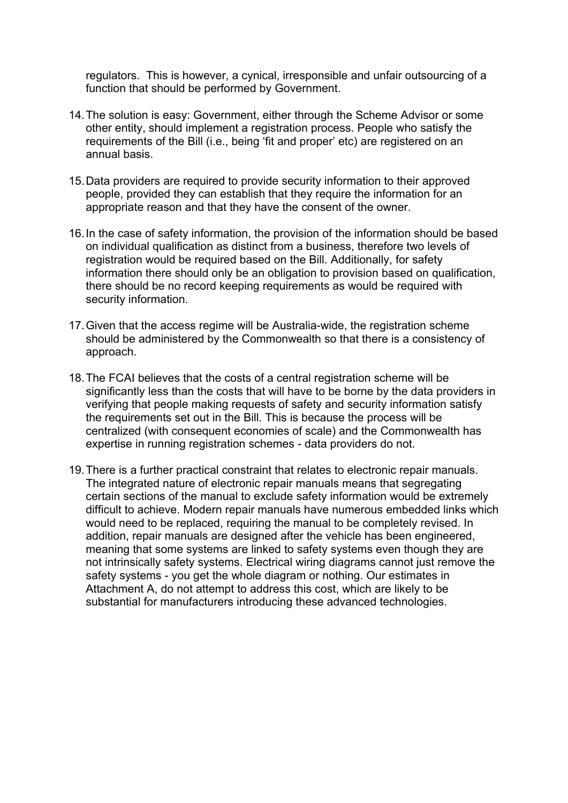regulators. This is however, a cynical, irresponsible and unfair outsourcing of a function that should be performed by Government.

- 14. The solution is easy: Government, either through the Scheme Advisor or some other entity, should implement a registration process. People who satisfy the requirements of the Bill (i.e., being 'fit and proper' etc) are registered on an annual basis.
- 15. Data providers are required to provide security information to their approved people, provided they can establish that they require the information for an appropriate reason and that they have the consent of the owner.
- 16. In the case of safety information, the provision of the information should be based on individual qualification as distinct from a business, therefore two levels of registration would be required based on the Bill. Additionally, for safety information there should only be an obligation to provision based on qualification, there should be no record keeping requirements as would be required with security information.
- 17. Given that the access regime will be Australia-wide, the registration scheme should be administered by the Commonwealth so that there is a consistency of approach.
- 18. The FCAI believes that the costs of a central registration scheme will be significantly less than the costs that will have to be borne by the data providers in verifying that people making requests of safety and security information satisfy the requirements set out in the Bill. This is because the process will be centralized (with consequent economies of scale) and the Commonwealth has expertise in running registration schemes - data providers do not.
- 19. There is a further practical constraint that relates to electronic repair manuals. The integrated nature of electronic repair manuals means that segregating certain sections of the manual to exclude safety information would be extremely difficult to achieve. Modern repair manuals have numerous embedded links which would need to be replaced, requiring the manual to be completely revised. In addition, repair manuals are designed after the vehicle has been engineered, meaning that some systems are linked to safety systems even though they are not intrinsically safety systems. Electrical wiring diagrams cannot just remove the safety systems - you get the whole diagram or nothing. Our estimates in Attachment A, do not attempt to address this cost, which are likely to be substantial for manufacturers introducing these advanced technologies.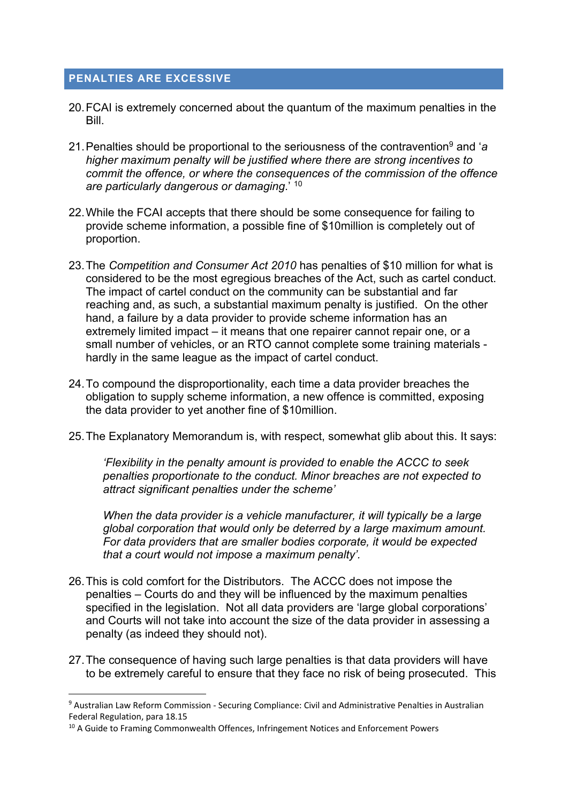### **PENALTIES ARE EXCESSIVE**

- 20. FCAI is extremely concerned about the quantum of the maximum penalties in the Bill.
- 21. Penalties should be proportional to the seriousness of the contravention9 and '*a higher maximum penalty will be justified where there are strong incentives to commit the offence, or where the consequences of the commission of the offence are particularly dangerous or damaging*.' 10
- 22. While the FCAI accepts that there should be some consequence for failing to provide scheme information, a possible fine of \$10million is completely out of proportion.
- 23. The *Competition and Consumer Act 2010* has penalties of \$10 million for what is considered to be the most egregious breaches of the Act, such as cartel conduct. The impact of cartel conduct on the community can be substantial and far reaching and, as such, a substantial maximum penalty is justified. On the other hand, a failure by a data provider to provide scheme information has an extremely limited impact – it means that one repairer cannot repair one, or a small number of vehicles, or an RTO cannot complete some training materials hardly in the same league as the impact of cartel conduct.
- 24. To compound the disproportionality, each time a data provider breaches the obligation to supply scheme information, a new offence is committed, exposing the data provider to yet another fine of \$10million.
- 25. The Explanatory Memorandum is, with respect, somewhat glib about this. It says:

*'Flexibility in the penalty amount is provided to enable the ACCC to seek penalties proportionate to the conduct. Minor breaches are not expected to attract significant penalties under the scheme'* 

*When the data provider is a vehicle manufacturer, it will typically be a large global corporation that would only be deterred by a large maximum amount. For data providers that are smaller bodies corporate, it would be expected that a court would not impose a maximum penalty'.* 

- 26. This is cold comfort for the Distributors. The ACCC does not impose the penalties – Courts do and they will be influenced by the maximum penalties specified in the legislation. Not all data providers are 'large global corporations' and Courts will not take into account the size of the data provider in assessing a penalty (as indeed they should not).
- 27. The consequence of having such large penalties is that data providers will have to be extremely careful to ensure that they face no risk of being prosecuted. This

<sup>9</sup> Australian Law Reform Commission - Securing Compliance: Civil and Administrative Penalties in Australian Federal Regulation, para 18.15

<sup>&</sup>lt;sup>10</sup> A Guide to Framing Commonwealth Offences, Infringement Notices and Enforcement Powers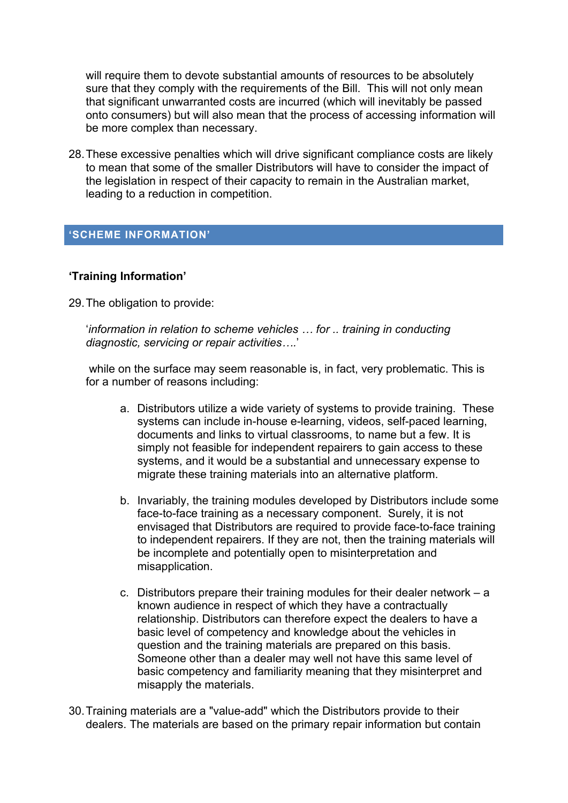will require them to devote substantial amounts of resources to be absolutely sure that they comply with the requirements of the Bill. This will not only mean that significant unwarranted costs are incurred (which will inevitably be passed onto consumers) but will also mean that the process of accessing information will be more complex than necessary.

28. These excessive penalties which will drive significant compliance costs are likely to mean that some of the smaller Distributors will have to consider the impact of the legislation in respect of their capacity to remain in the Australian market, leading to a reduction in competition.

#### **'SCHEME INFORMATION'**

#### **'Training Information'**

29. The obligation to provide:

'*information in relation to scheme vehicles … for .. training in conducting diagnostic, servicing or repair activities….*'

 while on the surface may seem reasonable is, in fact, very problematic. This is for a number of reasons including:

- a. Distributors utilize a wide variety of systems to provide training. These systems can include in-house e-learning, videos, self-paced learning, documents and links to virtual classrooms, to name but a few. It is simply not feasible for independent repairers to gain access to these systems, and it would be a substantial and unnecessary expense to migrate these training materials into an alternative platform.
- b. Invariably, the training modules developed by Distributors include some face-to-face training as a necessary component. Surely, it is not envisaged that Distributors are required to provide face-to-face training to independent repairers. If they are not, then the training materials will be incomplete and potentially open to misinterpretation and misapplication.
- c. Distributors prepare their training modules for their dealer network a known audience in respect of which they have a contractually relationship. Distributors can therefore expect the dealers to have a basic level of competency and knowledge about the vehicles in question and the training materials are prepared on this basis. Someone other than a dealer may well not have this same level of basic competency and familiarity meaning that they misinterpret and misapply the materials.
- 30. Training materials are a "value-add" which the Distributors provide to their dealers. The materials are based on the primary repair information but contain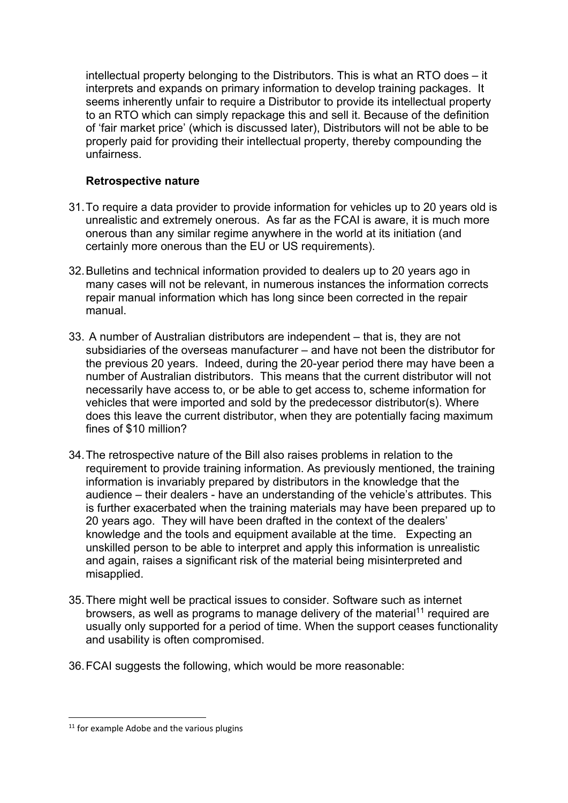intellectual property belonging to the Distributors. This is what an RTO does – it interprets and expands on primary information to develop training packages. It seems inherently unfair to require a Distributor to provide its intellectual property to an RTO which can simply repackage this and sell it. Because of the definition of 'fair market price' (which is discussed later), Distributors will not be able to be properly paid for providing their intellectual property, thereby compounding the unfairness.

#### **Retrospective nature**

- 31. To require a data provider to provide information for vehicles up to 20 years old is unrealistic and extremely onerous. As far as the FCAI is aware, it is much more onerous than any similar regime anywhere in the world at its initiation (and certainly more onerous than the EU or US requirements).
- 32. Bulletins and technical information provided to dealers up to 20 years ago in many cases will not be relevant, in numerous instances the information corrects repair manual information which has long since been corrected in the repair manual.
- 33. A number of Australian distributors are independent that is, they are not subsidiaries of the overseas manufacturer – and have not been the distributor for the previous 20 years. Indeed, during the 20-year period there may have been a number of Australian distributors. This means that the current distributor will not necessarily have access to, or be able to get access to, scheme information for vehicles that were imported and sold by the predecessor distributor(s). Where does this leave the current distributor, when they are potentially facing maximum fines of \$10 million?
- 34. The retrospective nature of the Bill also raises problems in relation to the requirement to provide training information. As previously mentioned, the training information is invariably prepared by distributors in the knowledge that the audience – their dealers - have an understanding of the vehicle's attributes. This is further exacerbated when the training materials may have been prepared up to 20 years ago. They will have been drafted in the context of the dealers' knowledge and the tools and equipment available at the time. Expecting an unskilled person to be able to interpret and apply this information is unrealistic and again, raises a significant risk of the material being misinterpreted and misapplied.
- 35. There might well be practical issues to consider. Software such as internet browsers, as well as programs to manage delivery of the material<sup>11</sup> required are usually only supported for a period of time. When the support ceases functionality and usability is often compromised.
- 36. FCAI suggests the following, which would be more reasonable:

 $11$  for example Adobe and the various plugins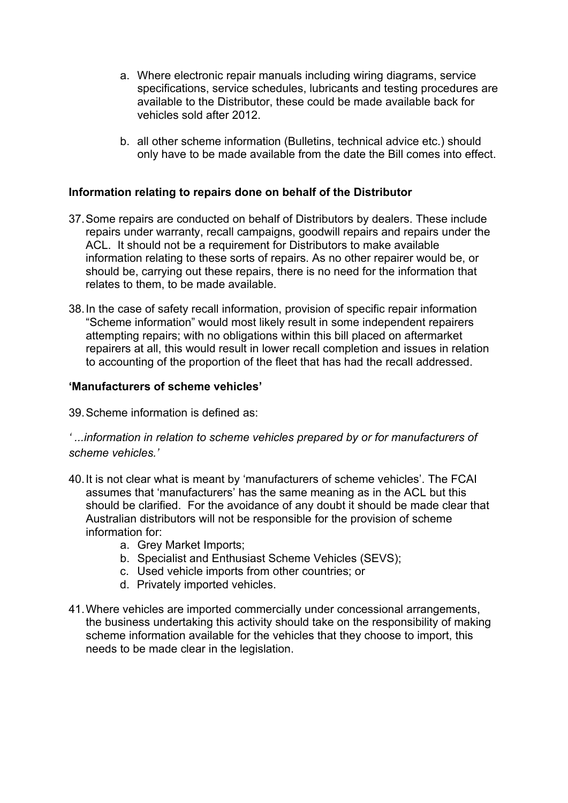- a. Where electronic repair manuals including wiring diagrams, service specifications, service schedules, lubricants and testing procedures are available to the Distributor, these could be made available back for vehicles sold after 2012.
- b. all other scheme information (Bulletins, technical advice etc.) should only have to be made available from the date the Bill comes into effect.

#### **Information relating to repairs done on behalf of the Distributor**

- 37. Some repairs are conducted on behalf of Distributors by dealers. These include repairs under warranty, recall campaigns, goodwill repairs and repairs under the ACL. It should not be a requirement for Distributors to make available information relating to these sorts of repairs. As no other repairer would be, or should be, carrying out these repairs, there is no need for the information that relates to them, to be made available.
- 38. In the case of safety recall information, provision of specific repair information "Scheme information" would most likely result in some independent repairers attempting repairs; with no obligations within this bill placed on aftermarket repairers at all, this would result in lower recall completion and issues in relation to accounting of the proportion of the fleet that has had the recall addressed.

#### **'Manufacturers of scheme vehicles'**

39. Scheme information is defined as:

*' ...information in relation to scheme vehicles prepared by or for manufacturers of scheme vehicles.'* 

- 40. It is not clear what is meant by 'manufacturers of scheme vehicles'. The FCAI assumes that 'manufacturers' has the same meaning as in the ACL but this should be clarified. For the avoidance of any doubt it should be made clear that Australian distributors will not be responsible for the provision of scheme information for:
	- a. Grey Market Imports;
	- b. Specialist and Enthusiast Scheme Vehicles (SEVS);
	- c. Used vehicle imports from other countries; or
	- d. Privately imported vehicles.
- 41. Where vehicles are imported commercially under concessional arrangements, the business undertaking this activity should take on the responsibility of making scheme information available for the vehicles that they choose to import, this needs to be made clear in the legislation.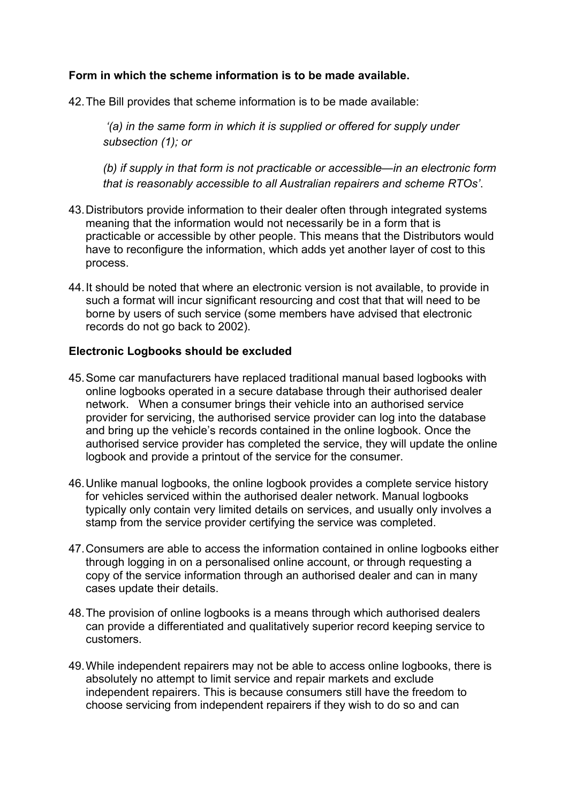#### **Form in which the scheme information is to be made available.**

42. The Bill provides that scheme information is to be made available:

 *'(a) in the same form in which it is supplied or offered for supply under subsection (1); or* 

*(b) if supply in that form is not practicable or accessible—in an electronic form that is reasonably accessible to all Australian repairers and scheme RTOs'*.

- 43. Distributors provide information to their dealer often through integrated systems meaning that the information would not necessarily be in a form that is practicable or accessible by other people. This means that the Distributors would have to reconfigure the information, which adds yet another layer of cost to this process.
- 44. It should be noted that where an electronic version is not available, to provide in such a format will incur significant resourcing and cost that that will need to be borne by users of such service (some members have advised that electronic records do not go back to 2002).

#### **Electronic Logbooks should be excluded**

- 45. Some car manufacturers have replaced traditional manual based logbooks with online logbooks operated in a secure database through their authorised dealer network. When a consumer brings their vehicle into an authorised service provider for servicing, the authorised service provider can log into the database and bring up the vehicle's records contained in the online logbook. Once the authorised service provider has completed the service, they will update the online logbook and provide a printout of the service for the consumer.
- 46. Unlike manual logbooks, the online logbook provides a complete service history for vehicles serviced within the authorised dealer network. Manual logbooks typically only contain very limited details on services, and usually only involves a stamp from the service provider certifying the service was completed.
- 47. Consumers are able to access the information contained in online logbooks either through logging in on a personalised online account, or through requesting a copy of the service information through an authorised dealer and can in many cases update their details.
- 48. The provision of online logbooks is a means through which authorised dealers can provide a differentiated and qualitatively superior record keeping service to customers.
- 49. While independent repairers may not be able to access online logbooks, there is absolutely no attempt to limit service and repair markets and exclude independent repairers. This is because consumers still have the freedom to choose servicing from independent repairers if they wish to do so and can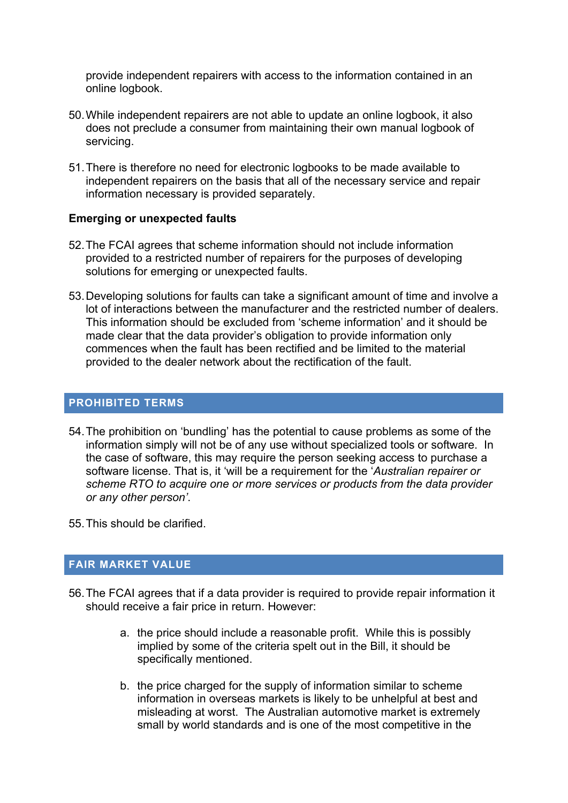provide independent repairers with access to the information contained in an online logbook.

- 50. While independent repairers are not able to update an online logbook, it also does not preclude a consumer from maintaining their own manual logbook of servicing.
- 51. There is therefore no need for electronic logbooks to be made available to independent repairers on the basis that all of the necessary service and repair information necessary is provided separately.

#### **Emerging or unexpected faults**

- 52. The FCAI agrees that scheme information should not include information provided to a restricted number of repairers for the purposes of developing solutions for emerging or unexpected faults.
- 53. Developing solutions for faults can take a significant amount of time and involve a lot of interactions between the manufacturer and the restricted number of dealers. This information should be excluded from 'scheme information' and it should be made clear that the data provider's obligation to provide information only commences when the fault has been rectified and be limited to the material provided to the dealer network about the rectification of the fault.

#### **PROHIBITED TERMS**

- 54. The prohibition on 'bundling' has the potential to cause problems as some of the information simply will not be of any use without specialized tools or software. In the case of software, this may require the person seeking access to purchase a software license. That is, it 'will be a requirement for the '*Australian repairer or scheme RTO to acquire one or more services or products from the data provider or any other person'*.
- 55. This should be clarified.

### **FAIR MARKET VALUE**

- 56. The FCAI agrees that if a data provider is required to provide repair information it should receive a fair price in return. However:
	- a. the price should include a reasonable profit. While this is possibly implied by some of the criteria spelt out in the Bill, it should be specifically mentioned.
	- b. the price charged for the supply of information similar to scheme information in overseas markets is likely to be unhelpful at best and misleading at worst. The Australian automotive market is extremely small by world standards and is one of the most competitive in the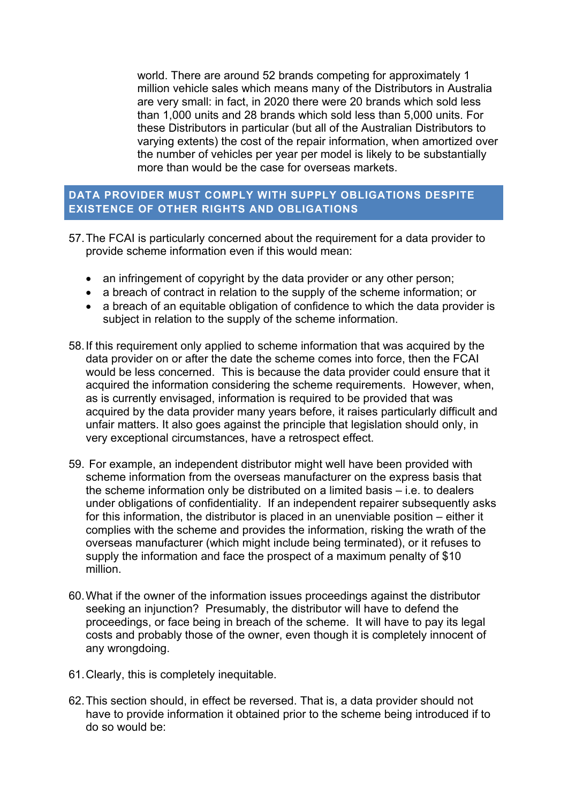world. There are around 52 brands competing for approximately 1 million vehicle sales which means many of the Distributors in Australia are very small: in fact, in 2020 there were 20 brands which sold less than 1,000 units and 28 brands which sold less than 5,000 units. For these Distributors in particular (but all of the Australian Distributors to varying extents) the cost of the repair information, when amortized over the number of vehicles per year per model is likely to be substantially more than would be the case for overseas markets.

### **DATA PROVIDER MUST COMPLY WITH SUPPLY OBLIGATIONS DESPITE EXISTENCE OF OTHER RIGHTS AND OBLIGATIONS**

- 57. The FCAI is particularly concerned about the requirement for a data provider to provide scheme information even if this would mean:
	- an infringement of copyright by the data provider or any other person;
	- a breach of contract in relation to the supply of the scheme information; or
	- a breach of an equitable obligation of confidence to which the data provider is subject in relation to the supply of the scheme information.
- 58. If this requirement only applied to scheme information that was acquired by the data provider on or after the date the scheme comes into force, then the FCAI would be less concerned. This is because the data provider could ensure that it acquired the information considering the scheme requirements. However, when, as is currently envisaged, information is required to be provided that was acquired by the data provider many years before, it raises particularly difficult and unfair matters. It also goes against the principle that legislation should only, in very exceptional circumstances, have a retrospect effect.
- 59. For example, an independent distributor might well have been provided with scheme information from the overseas manufacturer on the express basis that the scheme information only be distributed on a limited basis – i.e. to dealers under obligations of confidentiality. If an independent repairer subsequently asks for this information, the distributor is placed in an unenviable position – either it complies with the scheme and provides the information, risking the wrath of the overseas manufacturer (which might include being terminated), or it refuses to supply the information and face the prospect of a maximum penalty of \$10 million.
- 60. What if the owner of the information issues proceedings against the distributor seeking an injunction? Presumably, the distributor will have to defend the proceedings, or face being in breach of the scheme. It will have to pay its legal costs and probably those of the owner, even though it is completely innocent of any wrongdoing.
- 61. Clearly, this is completely inequitable.
- 62. This section should, in effect be reversed. That is, a data provider should not have to provide information it obtained prior to the scheme being introduced if to do so would be: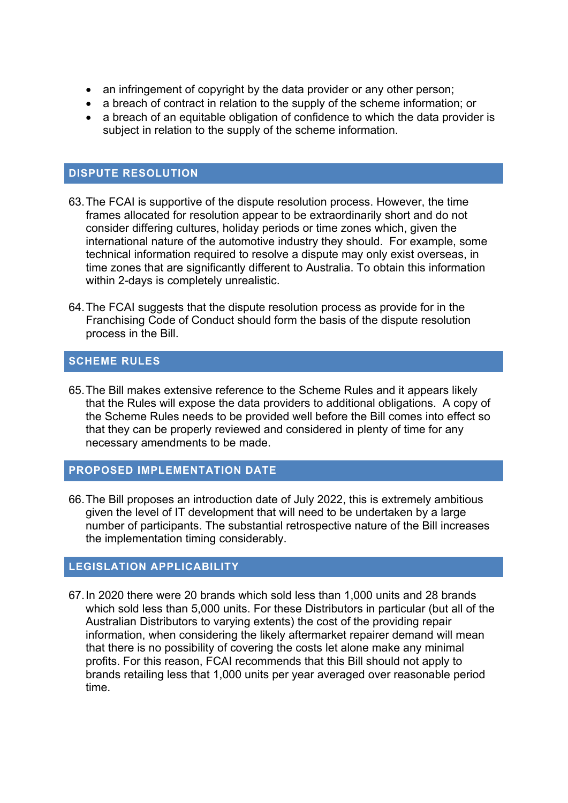- an infringement of copyright by the data provider or any other person;
- a breach of contract in relation to the supply of the scheme information; or
- a breach of an equitable obligation of confidence to which the data provider is subject in relation to the supply of the scheme information.

#### **DISPUTE RESOLUTION**

- 63. The FCAI is supportive of the dispute resolution process. However, the time frames allocated for resolution appear to be extraordinarily short and do not consider differing cultures, holiday periods or time zones which, given the international nature of the automotive industry they should. For example, some technical information required to resolve a dispute may only exist overseas, in time zones that are significantly different to Australia. To obtain this information within 2-days is completely unrealistic.
- 64. The FCAI suggests that the dispute resolution process as provide for in the Franchising Code of Conduct should form the basis of the dispute resolution process in the Bill.

#### **SCHEME RULES**

65. The Bill makes extensive reference to the Scheme Rules and it appears likely that the Rules will expose the data providers to additional obligations. A copy of the Scheme Rules needs to be provided well before the Bill comes into effect so that they can be properly reviewed and considered in plenty of time for any necessary amendments to be made.

#### **PROPOSED IMPLEMENTATION DATE**

66. The Bill proposes an introduction date of July 2022, this is extremely ambitious given the level of IT development that will need to be undertaken by a large number of participants. The substantial retrospective nature of the Bill increases the implementation timing considerably.

#### **LEGISLATION APPLICABILITY**

67. In 2020 there were 20 brands which sold less than 1,000 units and 28 brands which sold less than 5,000 units. For these Distributors in particular (but all of the Australian Distributors to varying extents) the cost of the providing repair information, when considering the likely aftermarket repairer demand will mean that there is no possibility of covering the costs let alone make any minimal profits. For this reason, FCAI recommends that this Bill should not apply to brands retailing less that 1,000 units per year averaged over reasonable period time.